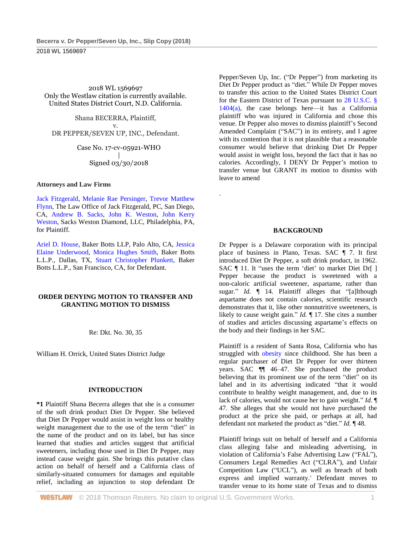2018 WL 1569697 Only the Westlaw citation is currently available. United States District Court, N.D. California.

Shana BECERRA, Plaintiff, v. DR PEPPER/SEVEN UP, INC., Defendant.

> Case No. 17-cv-05921-WHO | Signed 03/30/2018

### **Attorneys and Law Firms**

[Jack Fitzgerald,](http://www.westlaw.com/Link/Document/FullText?findType=h&pubNum=176284&cite=0382924801&originatingDoc=Ibc71f7a0369611e8a054a06708233710&refType=RQ&originationContext=document&vr=3.0&rs=cblt1.0&transitionType=DocumentItem&contextData=(sc.UserEnteredCitation)) [Melanie Rae Persinger,](http://www.westlaw.com/Link/Document/FullText?findType=h&pubNum=176284&cite=0505860601&originatingDoc=Ibc71f7a0369611e8a054a06708233710&refType=RQ&originationContext=document&vr=3.0&rs=cblt1.0&transitionType=DocumentItem&contextData=(sc.UserEnteredCitation)) [Trevor Matthew](http://www.westlaw.com/Link/Document/FullText?findType=h&pubNum=176284&cite=0471015801&originatingDoc=Ibc71f7a0369611e8a054a06708233710&refType=RQ&originationContext=document&vr=3.0&rs=cblt1.0&transitionType=DocumentItem&contextData=(sc.UserEnteredCitation))  [Flynn,](http://www.westlaw.com/Link/Document/FullText?findType=h&pubNum=176284&cite=0471015801&originatingDoc=Ibc71f7a0369611e8a054a06708233710&refType=RQ&originationContext=document&vr=3.0&rs=cblt1.0&transitionType=DocumentItem&contextData=(sc.UserEnteredCitation)) The Law Office of Jack Fitzgerald, PC, San Diego, CA, [Andrew B. Sacks,](http://www.westlaw.com/Link/Document/FullText?findType=h&pubNum=176284&cite=0134196301&originatingDoc=Ibc71f7a0369611e8a054a06708233710&refType=RQ&originationContext=document&vr=3.0&rs=cblt1.0&transitionType=DocumentItem&contextData=(sc.UserEnteredCitation)) [John K. Weston,](http://www.westlaw.com/Link/Document/FullText?findType=h&pubNum=176284&cite=0125374301&originatingDoc=Ibc71f7a0369611e8a054a06708233710&refType=RQ&originationContext=document&vr=3.0&rs=cblt1.0&transitionType=DocumentItem&contextData=(sc.UserEnteredCitation)) [John Kerry](http://www.westlaw.com/Link/Document/FullText?findType=h&pubNum=176284&cite=0125374301&originatingDoc=Ibc71f7a0369611e8a054a06708233710&refType=RQ&originationContext=document&vr=3.0&rs=cblt1.0&transitionType=DocumentItem&contextData=(sc.UserEnteredCitation))  [Weston,](http://www.westlaw.com/Link/Document/FullText?findType=h&pubNum=176284&cite=0125374301&originatingDoc=Ibc71f7a0369611e8a054a06708233710&refType=RQ&originationContext=document&vr=3.0&rs=cblt1.0&transitionType=DocumentItem&contextData=(sc.UserEnteredCitation)) Sacks Weston Diamond, LLC, Philadelphia, PA, for Plaintiff.

[Ariel D. House,](http://www.westlaw.com/Link/Document/FullText?findType=h&pubNum=176284&cite=0470761001&originatingDoc=Ibc71f7a0369611e8a054a06708233710&refType=RQ&originationContext=document&vr=3.0&rs=cblt1.0&transitionType=DocumentItem&contextData=(sc.UserEnteredCitation)) Baker Botts LLP, Palo Alto, CA, [Jessica](http://www.westlaw.com/Link/Document/FullText?findType=h&pubNum=176284&cite=0499969099&originatingDoc=Ibc71f7a0369611e8a054a06708233710&refType=RQ&originationContext=document&vr=3.0&rs=cblt1.0&transitionType=DocumentItem&contextData=(sc.UserEnteredCitation))  [Elaine Underwood,](http://www.westlaw.com/Link/Document/FullText?findType=h&pubNum=176284&cite=0499969099&originatingDoc=Ibc71f7a0369611e8a054a06708233710&refType=RQ&originationContext=document&vr=3.0&rs=cblt1.0&transitionType=DocumentItem&contextData=(sc.UserEnteredCitation)) [Monica Hughes Smith,](http://www.westlaw.com/Link/Document/FullText?findType=h&pubNum=176284&cite=0329410701&originatingDoc=Ibc71f7a0369611e8a054a06708233710&refType=RQ&originationContext=document&vr=3.0&rs=cblt1.0&transitionType=DocumentItem&contextData=(sc.UserEnteredCitation)) Baker Botts L.L.P., Dallas, TX, [Stuart Christopher Plunkett,](http://www.westlaw.com/Link/Document/FullText?findType=h&pubNum=176284&cite=0325576001&originatingDoc=Ibc71f7a0369611e8a054a06708233710&refType=RQ&originationContext=document&vr=3.0&rs=cblt1.0&transitionType=DocumentItem&contextData=(sc.UserEnteredCitation)) Baker Botts L.L.P., San Francisco, CA, for Defendant.

# **ORDER DENYING MOTION TO TRANSFER AND GRANTING MOTION TO DISMISS**

Re: Dkt. No. 30, 35

William H. Orrick, United States District Judge

# **INTRODUCTION**

**\*1** Plaintiff Shana Becerra alleges that she is a consumer of the soft drink product Diet Dr Pepper. She believed that Diet Dr Pepper would assist in weight loss or healthy weight management due to the use of the term "diet" in the name of the product and on its label, but has since learned that studies and articles suggest that artificial sweeteners, including those used in Diet Dr Pepper, may instead cause weight gain. She brings this putative class action on behalf of herself and a California class of similarly-situated consumers for damages and equitable relief, including an injunction to stop defendant Dr

Pepper/Seven Up, Inc. ("Dr Pepper") from marketing its Diet Dr Pepper product as "diet." While Dr Pepper moves to transfer this action to the United States District Court for the Eastern District of Texas pursuant to [28 U.S.C. §](http://www.westlaw.com/Link/Document/FullText?findType=L&pubNum=1000546&cite=28USCAS1404&originatingDoc=Ibc71f7a0369611e8a054a06708233710&refType=SP&originationContext=document&vr=3.0&rs=cblt1.0&transitionType=DocumentItem&contextData=(sc.UserEnteredCitation)#co_pp_8b3b0000958a4)  [1404\(a\),](http://www.westlaw.com/Link/Document/FullText?findType=L&pubNum=1000546&cite=28USCAS1404&originatingDoc=Ibc71f7a0369611e8a054a06708233710&refType=SP&originationContext=document&vr=3.0&rs=cblt1.0&transitionType=DocumentItem&contextData=(sc.UserEnteredCitation)#co_pp_8b3b0000958a4) the case belongs here—it has a California plaintiff who was injured in California and chose this venue. Dr Pepper also moves to dismiss plaintiff's Second Amended Complaint ("SAC") in its entirety, and I agree with its contention that it is not plausible that a reasonable consumer would believe that drinking Diet Dr Pepper would assist in weight loss, beyond the fact that it has no calories. Accordingly, I DENY Dr Pepper's motion to transfer venue but GRANT its motion to dismiss with leave to amend

# **BACKGROUND**

.

Dr Pepper is a Delaware corporation with its principal place of business in Plano, Texas. SAC ¶ 7. It first introduced Diet Dr Pepper, a soft drink product, in 1962. SAC ¶ 11. It "uses the term 'diet' to market Diet Dr[ ] Pepper because the product is sweetened with a non-caloric artificial sweetener, aspartame, rather than sugar." *Id.* ¶ 14. Plaintiff alleges that "[a]lthough aspartame does not contain calories, scientific research demonstrates that it, like other nonnutritive sweeteners, is likely to cause weight gain." *Id.* ¶ 17. She cites a number of studies and articles discussing aspartame's effects on the body and their findings in her SAC.

Plaintiff is a resident of Santa Rosa, California who has struggled with [obesity](http://www.westlaw.com/Link/Document/FullText?entityType=disease&entityId=Ib521aefe475411db9765f9243f53508a&originationContext=document&transitionType=DocumentItem&contextData=(sc.Default)&vr=3.0&rs=cblt1.0) since childhood. She has been a regular purchaser of Diet Dr Pepper for over thirteen years. SAC ¶¶ 46–47. She purchased the product believing that its prominent use of the term "diet" on its label and in its advertising indicated "that it would contribute to healthy weight management, and, due to its lack of calories, would not cause her to gain weight." *Id.* ¶ 47. She alleges that she would not have purchased the product at the price she paid, or perhaps at all, had defendant not marketed the product as "diet." *Id.* ¶ 48.

Plaintiff brings suit on behalf of herself and a California class alleging false and misleading advertising, in violation of California's False Advertising Law ("FAL"), Consumers Legal Remedies Act ("CLRA"), and Unfair Competition Law ("UCL"), as well as breach of both express and implied warranty.<sup>1</sup> Defendant moves to transfer venue to its home state of Texas and to dismiss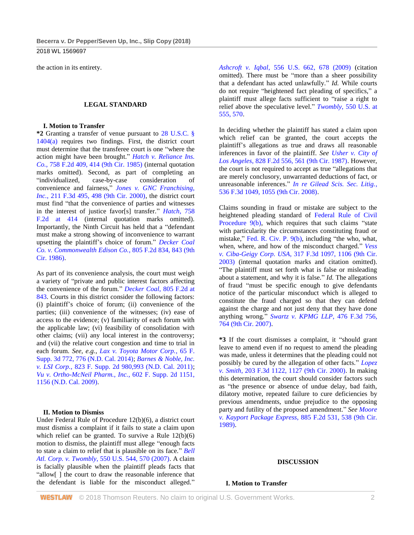2018 WL 1569697

the action in its entirety.

### **LEGAL STANDARD**

### **I. Motion to Transfer**

**\*2** Granting a transfer of venue pursuant to [28 U.S.C. §](http://www.westlaw.com/Link/Document/FullText?findType=L&pubNum=1000546&cite=28USCAS1404&originatingDoc=Ibc71f7a0369611e8a054a06708233710&refType=SP&originationContext=document&vr=3.0&rs=cblt1.0&transitionType=DocumentItem&contextData=(sc.UserEnteredCitation)#co_pp_8b3b0000958a4)  [1404\(a\)](http://www.westlaw.com/Link/Document/FullText?findType=L&pubNum=1000546&cite=28USCAS1404&originatingDoc=Ibc71f7a0369611e8a054a06708233710&refType=SP&originationContext=document&vr=3.0&rs=cblt1.0&transitionType=DocumentItem&contextData=(sc.UserEnteredCitation)#co_pp_8b3b0000958a4) requires two findings. First, the district court must determine that the transferee court is one "where the action might have been brought." *[Hatch v. Reliance Ins.](http://www.westlaw.com/Link/Document/FullText?findType=Y&serNum=1985120171&pubNum=0000350&originatingDoc=Ibc71f7a0369611e8a054a06708233710&refType=RP&fi=co_pp_sp_350_414&originationContext=document&vr=3.0&rs=cblt1.0&transitionType=DocumentItem&contextData=(sc.UserEnteredCitation)#co_pp_sp_350_414)  Co.*[, 758 F.2d 409, 414 \(9th Cir. 1985\)](http://www.westlaw.com/Link/Document/FullText?findType=Y&serNum=1985120171&pubNum=0000350&originatingDoc=Ibc71f7a0369611e8a054a06708233710&refType=RP&fi=co_pp_sp_350_414&originationContext=document&vr=3.0&rs=cblt1.0&transitionType=DocumentItem&contextData=(sc.UserEnteredCitation)#co_pp_sp_350_414) (internal quotation marks omitted). Second, as part of completing an "individualized, case-by-case consideration of convenience and fairness," *[Jones v. GNC Franchising,](http://www.westlaw.com/Link/Document/FullText?findType=Y&serNum=2000300871&pubNum=0000506&originatingDoc=Ibc71f7a0369611e8a054a06708233710&refType=RP&fi=co_pp_sp_506_498&originationContext=document&vr=3.0&rs=cblt1.0&transitionType=DocumentItem&contextData=(sc.UserEnteredCitation)#co_pp_sp_506_498)  Inc.*[, 211 F.3d 495, 498 \(9th Cir. 2000\),](http://www.westlaw.com/Link/Document/FullText?findType=Y&serNum=2000300871&pubNum=0000506&originatingDoc=Ibc71f7a0369611e8a054a06708233710&refType=RP&fi=co_pp_sp_506_498&originationContext=document&vr=3.0&rs=cblt1.0&transitionType=DocumentItem&contextData=(sc.UserEnteredCitation)#co_pp_sp_506_498) the district court must find "that the convenience of parties and witnesses in the interest of justice favor[s] transfer." *Hatch*[, 758](http://www.westlaw.com/Link/Document/FullText?findType=Y&serNum=1985120171&pubNum=0000350&originatingDoc=Ibc71f7a0369611e8a054a06708233710&refType=RP&fi=co_pp_sp_350_414&originationContext=document&vr=3.0&rs=cblt1.0&transitionType=DocumentItem&contextData=(sc.UserEnteredCitation)#co_pp_sp_350_414)  [F.2d at 414](http://www.westlaw.com/Link/Document/FullText?findType=Y&serNum=1985120171&pubNum=0000350&originatingDoc=Ibc71f7a0369611e8a054a06708233710&refType=RP&fi=co_pp_sp_350_414&originationContext=document&vr=3.0&rs=cblt1.0&transitionType=DocumentItem&contextData=(sc.UserEnteredCitation)#co_pp_sp_350_414) (internal quotation marks omitted). Importantly, the Ninth Circuit has held that a "defendant must make a strong showing of inconvenience to warrant upsetting the plaintiff's choice of forum." *[Decker Coal](http://www.westlaw.com/Link/Document/FullText?findType=Y&serNum=1986158839&pubNum=0000350&originatingDoc=Ibc71f7a0369611e8a054a06708233710&refType=RP&fi=co_pp_sp_350_843&originationContext=document&vr=3.0&rs=cblt1.0&transitionType=DocumentItem&contextData=(sc.UserEnteredCitation)#co_pp_sp_350_843)  [Co. v. Commonwealth Edison Co.](http://www.westlaw.com/Link/Document/FullText?findType=Y&serNum=1986158839&pubNum=0000350&originatingDoc=Ibc71f7a0369611e8a054a06708233710&refType=RP&fi=co_pp_sp_350_843&originationContext=document&vr=3.0&rs=cblt1.0&transitionType=DocumentItem&contextData=(sc.UserEnteredCitation)#co_pp_sp_350_843)*, 805 F.2d 834, 843 (9th [Cir. 1986\).](http://www.westlaw.com/Link/Document/FullText?findType=Y&serNum=1986158839&pubNum=0000350&originatingDoc=Ibc71f7a0369611e8a054a06708233710&refType=RP&fi=co_pp_sp_350_843&originationContext=document&vr=3.0&rs=cblt1.0&transitionType=DocumentItem&contextData=(sc.UserEnteredCitation)#co_pp_sp_350_843)

As part of its convenience analysis, the court must weigh a variety of "private and public interest factors affecting the convenience of the forum." *Decker Coal*[, 805 F.2d at](http://www.westlaw.com/Link/Document/FullText?findType=Y&serNum=1986158839&pubNum=0000350&originatingDoc=Ibc71f7a0369611e8a054a06708233710&refType=RP&fi=co_pp_sp_350_843&originationContext=document&vr=3.0&rs=cblt1.0&transitionType=DocumentItem&contextData=(sc.UserEnteredCitation)#co_pp_sp_350_843)  [843.](http://www.westlaw.com/Link/Document/FullText?findType=Y&serNum=1986158839&pubNum=0000350&originatingDoc=Ibc71f7a0369611e8a054a06708233710&refType=RP&fi=co_pp_sp_350_843&originationContext=document&vr=3.0&rs=cblt1.0&transitionType=DocumentItem&contextData=(sc.UserEnteredCitation)#co_pp_sp_350_843) Courts in this district consider the following factors: (i) plaintiff's choice of forum; (ii) convenience of the parties; (iii) convenience of the witnesses; (iv) ease of access to the evidence; (v) familiarity of each forum with the applicable law; (vi) feasibility of consolidation with other claims; (vii) any local interest in the controversy; and (vii) the relative court congestion and time to trial in each forum. *See, e.g.*, *[Lax v. Toyota Motor Corp.](http://www.westlaw.com/Link/Document/FullText?findType=Y&serNum=2034114344&pubNum=0007903&originatingDoc=Ibc71f7a0369611e8a054a06708233710&refType=RP&fi=co_pp_sp_7903_776&originationContext=document&vr=3.0&rs=cblt1.0&transitionType=DocumentItem&contextData=(sc.UserEnteredCitation)#co_pp_sp_7903_776)*, 65 F. [Supp. 3d 772, 776 \(N.D. Cal. 2014\);](http://www.westlaw.com/Link/Document/FullText?findType=Y&serNum=2034114344&pubNum=0007903&originatingDoc=Ibc71f7a0369611e8a054a06708233710&refType=RP&fi=co_pp_sp_7903_776&originationContext=document&vr=3.0&rs=cblt1.0&transitionType=DocumentItem&contextData=(sc.UserEnteredCitation)#co_pp_sp_7903_776) *[Barnes & Noble, Inc.](http://www.westlaw.com/Link/Document/FullText?findType=Y&serNum=2026360963&pubNum=0004637&originatingDoc=Ibc71f7a0369611e8a054a06708233710&refType=RP&fi=co_pp_sp_4637_993&originationContext=document&vr=3.0&rs=cblt1.0&transitionType=DocumentItem&contextData=(sc.UserEnteredCitation)#co_pp_sp_4637_993)  v. LSI Corp.*[, 823 F. Supp. 2d 980,993 \(N.D. Cal. 2011\);](http://www.westlaw.com/Link/Document/FullText?findType=Y&serNum=2026360963&pubNum=0004637&originatingDoc=Ibc71f7a0369611e8a054a06708233710&refType=RP&fi=co_pp_sp_4637_993&originationContext=document&vr=3.0&rs=cblt1.0&transitionType=DocumentItem&contextData=(sc.UserEnteredCitation)#co_pp_sp_4637_993) *[Vu v. Ortho-McNeil Pharm., Inc.](http://www.westlaw.com/Link/Document/FullText?findType=Y&serNum=2018308872&pubNum=0004637&originatingDoc=Ibc71f7a0369611e8a054a06708233710&refType=RP&fi=co_pp_sp_4637_1156&originationContext=document&vr=3.0&rs=cblt1.0&transitionType=DocumentItem&contextData=(sc.UserEnteredCitation)#co_pp_sp_4637_1156)*, 602 F. Supp. 2d 1151, [1156 \(N.D. Cal. 2009\).](http://www.westlaw.com/Link/Document/FullText?findType=Y&serNum=2018308872&pubNum=0004637&originatingDoc=Ibc71f7a0369611e8a054a06708233710&refType=RP&fi=co_pp_sp_4637_1156&originationContext=document&vr=3.0&rs=cblt1.0&transitionType=DocumentItem&contextData=(sc.UserEnteredCitation)#co_pp_sp_4637_1156)

# **II. Motion to Dismiss**

Under Federal Rule of Procedure 12(b)(6), a district court must dismiss a complaint if it fails to state a claim upon which relief can be granted. To survive a Rule  $12(b)(6)$ motion to dismiss, the plaintiff must allege "enough facts to state a claim to relief that is plausible on its face." *[Bell](http://www.westlaw.com/Link/Document/FullText?findType=Y&serNum=2012293296&pubNum=0000780&originatingDoc=Ibc71f7a0369611e8a054a06708233710&refType=RP&fi=co_pp_sp_780_570&originationContext=document&vr=3.0&rs=cblt1.0&transitionType=DocumentItem&contextData=(sc.UserEnteredCitation)#co_pp_sp_780_570)  Atl. Corp. v. Twombly*[, 550 U.S. 544, 570 \(2007\).](http://www.westlaw.com/Link/Document/FullText?findType=Y&serNum=2012293296&pubNum=0000780&originatingDoc=Ibc71f7a0369611e8a054a06708233710&refType=RP&fi=co_pp_sp_780_570&originationContext=document&vr=3.0&rs=cblt1.0&transitionType=DocumentItem&contextData=(sc.UserEnteredCitation)#co_pp_sp_780_570) A claim is facially plausible when the plaintiff pleads facts that "allow[ ] the court to draw the reasonable inference that the defendant is liable for the misconduct alleged."

*Ashcroft v. Iqbal*[, 556 U.S. 662, 678 \(2009\)](http://www.westlaw.com/Link/Document/FullText?findType=Y&serNum=2018848474&pubNum=0000780&originatingDoc=Ibc71f7a0369611e8a054a06708233710&refType=RP&fi=co_pp_sp_780_678&originationContext=document&vr=3.0&rs=cblt1.0&transitionType=DocumentItem&contextData=(sc.UserEnteredCitation)#co_pp_sp_780_678) (citation omitted). There must be "more than a sheer possibility that a defendant has acted unlawfully." *Id.* While courts do not require "heightened fact pleading of specifics," a plaintiff must allege facts sufficient to "raise a right to relief above the speculative level." *Twombly*[, 550 U.S. at](http://www.westlaw.com/Link/Document/FullText?findType=Y&serNum=2012293296&pubNum=0000780&originatingDoc=Ibc71f7a0369611e8a054a06708233710&refType=RP&fi=co_pp_sp_780_555&originationContext=document&vr=3.0&rs=cblt1.0&transitionType=DocumentItem&contextData=(sc.UserEnteredCitation)#co_pp_sp_780_555)  [555, 570.](http://www.westlaw.com/Link/Document/FullText?findType=Y&serNum=2012293296&pubNum=0000780&originatingDoc=Ibc71f7a0369611e8a054a06708233710&refType=RP&fi=co_pp_sp_780_555&originationContext=document&vr=3.0&rs=cblt1.0&transitionType=DocumentItem&contextData=(sc.UserEnteredCitation)#co_pp_sp_780_555)

In deciding whether the plaintiff has stated a claim upon which relief can be granted, the court accepts the plaintiff's allegations as true and draws all reasonable inferences in favor of the plaintiff. *See [Usher v. City of](http://www.westlaw.com/Link/Document/FullText?findType=Y&serNum=1987115685&pubNum=0000350&originatingDoc=Ibc71f7a0369611e8a054a06708233710&refType=RP&fi=co_pp_sp_350_561&originationContext=document&vr=3.0&rs=cblt1.0&transitionType=DocumentItem&contextData=(sc.UserEnteredCitation)#co_pp_sp_350_561)  Los Angeles*[, 828 F.2d 556, 561 \(9th Cir. 1987\).](http://www.westlaw.com/Link/Document/FullText?findType=Y&serNum=1987115685&pubNum=0000350&originatingDoc=Ibc71f7a0369611e8a054a06708233710&refType=RP&fi=co_pp_sp_350_561&originationContext=document&vr=3.0&rs=cblt1.0&transitionType=DocumentItem&contextData=(sc.UserEnteredCitation)#co_pp_sp_350_561) However, the court is not required to accept as true "allegations that are merely conclusory, unwarranted deductions of fact, or unreasonable inferences." *[In re Gilead Scis. Sec. Litig.](http://www.westlaw.com/Link/Document/FullText?findType=Y&serNum=2016722866&pubNum=0000506&originatingDoc=Ibc71f7a0369611e8a054a06708233710&refType=RP&fi=co_pp_sp_506_1055&originationContext=document&vr=3.0&rs=cblt1.0&transitionType=DocumentItem&contextData=(sc.UserEnteredCitation)#co_pp_sp_506_1055)*, [536 F.3d 1049, 1055 \(9th Cir. 2008\).](http://www.westlaw.com/Link/Document/FullText?findType=Y&serNum=2016722866&pubNum=0000506&originatingDoc=Ibc71f7a0369611e8a054a06708233710&refType=RP&fi=co_pp_sp_506_1055&originationContext=document&vr=3.0&rs=cblt1.0&transitionType=DocumentItem&contextData=(sc.UserEnteredCitation)#co_pp_sp_506_1055)

Claims sounding in fraud or mistake are subject to the heightened pleading standard of [Federal Rule of Civil](http://www.westlaw.com/Link/Document/FullText?findType=L&pubNum=1000600&cite=USFRCPR9&originatingDoc=Ibc71f7a0369611e8a054a06708233710&refType=LQ&originationContext=document&vr=3.0&rs=cblt1.0&transitionType=DocumentItem&contextData=(sc.UserEnteredCitation))  [Procedure 9\(b\),](http://www.westlaw.com/Link/Document/FullText?findType=L&pubNum=1000600&cite=USFRCPR9&originatingDoc=Ibc71f7a0369611e8a054a06708233710&refType=LQ&originationContext=document&vr=3.0&rs=cblt1.0&transitionType=DocumentItem&contextData=(sc.UserEnteredCitation)) which requires that such claims "state with particularity the circumstances constituting fraud or mistake," [Fed. R. Civ. P. 9\(b\),](http://www.westlaw.com/Link/Document/FullText?findType=L&pubNum=1000600&cite=USFRCPR9&originatingDoc=Ibc71f7a0369611e8a054a06708233710&refType=LQ&originationContext=document&vr=3.0&rs=cblt1.0&transitionType=DocumentItem&contextData=(sc.UserEnteredCitation)) including "the who, what, when, where, and how of the misconduct charged." *[Vess](http://www.westlaw.com/Link/Document/FullText?findType=Y&serNum=2003124194&pubNum=0000506&originatingDoc=Ibc71f7a0369611e8a054a06708233710&refType=RP&fi=co_pp_sp_506_1106&originationContext=document&vr=3.0&rs=cblt1.0&transitionType=DocumentItem&contextData=(sc.UserEnteredCitation)#co_pp_sp_506_1106)  v. Ciba-Geigy Corp. USA*[, 317 F.3d 1097, 1106 \(9th Cir.](http://www.westlaw.com/Link/Document/FullText?findType=Y&serNum=2003124194&pubNum=0000506&originatingDoc=Ibc71f7a0369611e8a054a06708233710&refType=RP&fi=co_pp_sp_506_1106&originationContext=document&vr=3.0&rs=cblt1.0&transitionType=DocumentItem&contextData=(sc.UserEnteredCitation)#co_pp_sp_506_1106)  [2003\)](http://www.westlaw.com/Link/Document/FullText?findType=Y&serNum=2003124194&pubNum=0000506&originatingDoc=Ibc71f7a0369611e8a054a06708233710&refType=RP&fi=co_pp_sp_506_1106&originationContext=document&vr=3.0&rs=cblt1.0&transitionType=DocumentItem&contextData=(sc.UserEnteredCitation)#co_pp_sp_506_1106) (internal quotation marks and citation omitted). "The plaintiff must set forth what is false or misleading about a statement, and why it is false." *Id.* The allegations of fraud "must be specific enough to give defendants notice of the particular misconduct which is alleged to constitute the fraud charged so that they can defend against the charge and not just deny that they have done anything wrong." *[Swartz v. KPMG LLP](http://www.westlaw.com/Link/Document/FullText?findType=Y&serNum=2011437883&pubNum=0000506&originatingDoc=Ibc71f7a0369611e8a054a06708233710&refType=RP&fi=co_pp_sp_506_764&originationContext=document&vr=3.0&rs=cblt1.0&transitionType=DocumentItem&contextData=(sc.UserEnteredCitation)#co_pp_sp_506_764)*, 476 F.3d 756, [764 \(9th Cir. 2007\).](http://www.westlaw.com/Link/Document/FullText?findType=Y&serNum=2011437883&pubNum=0000506&originatingDoc=Ibc71f7a0369611e8a054a06708233710&refType=RP&fi=co_pp_sp_506_764&originationContext=document&vr=3.0&rs=cblt1.0&transitionType=DocumentItem&contextData=(sc.UserEnteredCitation)#co_pp_sp_506_764)

**\*3** If the court dismisses a complaint, it "should grant leave to amend even if no request to amend the pleading was made, unless it determines that the pleading could not possibly be cured by the allegation of other facts." *[Lopez](http://www.westlaw.com/Link/Document/FullText?findType=Y&serNum=2000051408&pubNum=0000506&originatingDoc=Ibc71f7a0369611e8a054a06708233710&refType=RP&fi=co_pp_sp_506_1127&originationContext=document&vr=3.0&rs=cblt1.0&transitionType=DocumentItem&contextData=(sc.UserEnteredCitation)#co_pp_sp_506_1127)  v. Smith*[, 203 F.3d 1122, 1127 \(9th Cir. 2000\).](http://www.westlaw.com/Link/Document/FullText?findType=Y&serNum=2000051408&pubNum=0000506&originatingDoc=Ibc71f7a0369611e8a054a06708233710&refType=RP&fi=co_pp_sp_506_1127&originationContext=document&vr=3.0&rs=cblt1.0&transitionType=DocumentItem&contextData=(sc.UserEnteredCitation)#co_pp_sp_506_1127) In making this determination, the court should consider factors such as "the presence or absence of undue delay, bad faith, dilatory motive, repeated failure to cure deficiencies by previous amendments, undue prejudice to the opposing party and futility of the proposed amendment." *See [Moore](http://www.westlaw.com/Link/Document/FullText?findType=Y&serNum=1989127863&pubNum=0000350&originatingDoc=Ibc71f7a0369611e8a054a06708233710&refType=RP&fi=co_pp_sp_350_538&originationContext=document&vr=3.0&rs=cblt1.0&transitionType=DocumentItem&contextData=(sc.UserEnteredCitation)#co_pp_sp_350_538)  v. Kayport Package Express*[, 885 F.2d 531, 538 \(9th Cir.](http://www.westlaw.com/Link/Document/FullText?findType=Y&serNum=1989127863&pubNum=0000350&originatingDoc=Ibc71f7a0369611e8a054a06708233710&refType=RP&fi=co_pp_sp_350_538&originationContext=document&vr=3.0&rs=cblt1.0&transitionType=DocumentItem&contextData=(sc.UserEnteredCitation)#co_pp_sp_350_538)  [1989\).](http://www.westlaw.com/Link/Document/FullText?findType=Y&serNum=1989127863&pubNum=0000350&originatingDoc=Ibc71f7a0369611e8a054a06708233710&refType=RP&fi=co_pp_sp_350_538&originationContext=document&vr=3.0&rs=cblt1.0&transitionType=DocumentItem&contextData=(sc.UserEnteredCitation)#co_pp_sp_350_538)

# **DISCUSSION**

### **I. Motion to Transfer**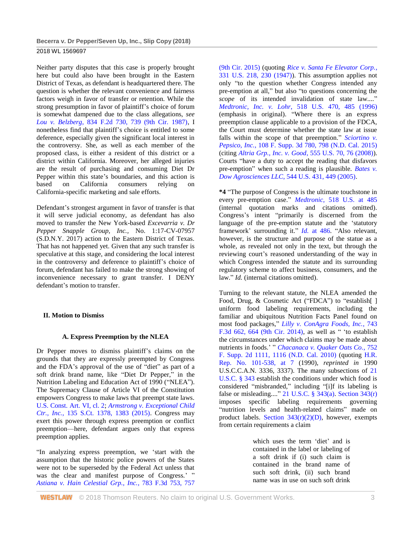Neither party disputes that this case is properly brought here but could also have been brought in the Eastern District of Texas, as defendant is headquartered there. The question is whether the relevant convenience and fairness factors weigh in favor of transfer or retention. While the strong presumption in favor of plaintiff's choice of forum is somewhat dampened due to the class allegations, *see Lou v. Belzberg*[, 834 F.2d 730, 739 \(9th Cir. 1987\),](http://www.westlaw.com/Link/Document/FullText?findType=Y&serNum=1987140186&pubNum=0000350&originatingDoc=Ibc71f7a0369611e8a054a06708233710&refType=RP&fi=co_pp_sp_350_739&originationContext=document&vr=3.0&rs=cblt1.0&transitionType=DocumentItem&contextData=(sc.UserEnteredCitation)#co_pp_sp_350_739) I nonetheless find that plaintiff's choice is entitled to some deference, especially given the significant local interest in the controversy. She, as well as each member of the proposed class, is either a resident of this district or a district within California. Moreover, her alleged injuries are the result of purchasing and consuming Diet Dr Pepper within this state's boundaries, and this action is based on California consumers relying on California-specific marketing and sale efforts.

Defendant's strongest argument in favor of transfer is that it will serve judicial economy, as defendant has also moved to transfer the New York-based *Excevarria v. Dr Pepper Snapple Group, Inc.,* No. 1:17-CV-07957 (S.D.N.Y. 2017) action to the Eastern District of Texas. That has not happened yet. Given that any such transfer is speculative at this stage, and considering the local interest in the controversy and deference to plaintiff's choice of forum, defendant has failed to make the strong showing of inconvenience necessary to grant transfer. I DENY defendant's motion to transfer.

# **II. Motion to Dismiss**

# **A. Express Preemption by the NLEA**

Dr Pepper moves to dismiss plaintiff's claims on the grounds that they are expressly preempted by Congress and the FDA's approval of the use of "diet" as part of a soft drink brand name, like "Diet Dr Pepper," in the Nutrition Labeling and Education Act of 1990 ("NLEA"). The Supremacy Clause of Article VI of the Constitution empowers Congress to make laws that preempt state laws. [U.S. Const. Art. VI, cl. 2;](http://www.westlaw.com/Link/Document/FullText?findType=L&pubNum=1000583&cite=USCOARTVICL2&originatingDoc=Ibc71f7a0369611e8a054a06708233710&refType=LQ&originationContext=document&vr=3.0&rs=cblt1.0&transitionType=DocumentItem&contextData=(sc.UserEnteredCitation)) *[Armstrong v. Exceptional Child](http://www.westlaw.com/Link/Document/FullText?findType=Y&serNum=2035720644&pubNum=0000708&originatingDoc=Ibc71f7a0369611e8a054a06708233710&refType=RP&fi=co_pp_sp_708_1383&originationContext=document&vr=3.0&rs=cblt1.0&transitionType=DocumentItem&contextData=(sc.UserEnteredCitation)#co_pp_sp_708_1383)  Ctr., Inc.*[, 135 S.Ct. 1378, 1383 \(2015\).](http://www.westlaw.com/Link/Document/FullText?findType=Y&serNum=2035720644&pubNum=0000708&originatingDoc=Ibc71f7a0369611e8a054a06708233710&refType=RP&fi=co_pp_sp_708_1383&originationContext=document&vr=3.0&rs=cblt1.0&transitionType=DocumentItem&contextData=(sc.UserEnteredCitation)#co_pp_sp_708_1383) Congress may exert this power through express preemption or conflict preemption—here, defendant argues only that express preemption applies.

"In analyzing express preemption, we 'start with the assumption that the historic police powers of the States were not to be superseded by the Federal Act unless that was the clear and manifest purpose of Congress.' " *[Astiana v. Hain Celestial Grp., Inc.](http://www.westlaw.com/Link/Document/FullText?findType=Y&serNum=2035787618&pubNum=0000506&originatingDoc=Ibc71f7a0369611e8a054a06708233710&refType=RP&fi=co_pp_sp_506_757&originationContext=document&vr=3.0&rs=cblt1.0&transitionType=DocumentItem&contextData=(sc.UserEnteredCitation)#co_pp_sp_506_757)*, 783 F.3d 753, 757

[\(9th Cir. 2015\)](http://www.westlaw.com/Link/Document/FullText?findType=Y&serNum=2035787618&pubNum=0000506&originatingDoc=Ibc71f7a0369611e8a054a06708233710&refType=RP&fi=co_pp_sp_506_757&originationContext=document&vr=3.0&rs=cblt1.0&transitionType=DocumentItem&contextData=(sc.UserEnteredCitation)#co_pp_sp_506_757) (quoting *[Rice v. Santa Fe Elevator Corp.](http://www.westlaw.com/Link/Document/FullText?findType=Y&serNum=1947116605&pubNum=0000780&originatingDoc=Ibc71f7a0369611e8a054a06708233710&refType=RP&fi=co_pp_sp_780_230&originationContext=document&vr=3.0&rs=cblt1.0&transitionType=DocumentItem&contextData=(sc.UserEnteredCitation)#co_pp_sp_780_230)*, [331 U.S. 218, 230 \(1947\)\)](http://www.westlaw.com/Link/Document/FullText?findType=Y&serNum=1947116605&pubNum=0000780&originatingDoc=Ibc71f7a0369611e8a054a06708233710&refType=RP&fi=co_pp_sp_780_230&originationContext=document&vr=3.0&rs=cblt1.0&transitionType=DocumentItem&contextData=(sc.UserEnteredCitation)#co_pp_sp_780_230). This assumption applies not only "to the question whether Congress intended any pre-emption at all," but also "to questions concerning the *scope* of its intended invalidation of state law...." *Medtronic, Inc. v. Lohr*[, 518 U.S. 470, 485 \(1996\)](http://www.westlaw.com/Link/Document/FullText?findType=Y&serNum=1996141769&pubNum=0000780&originatingDoc=Ibc71f7a0369611e8a054a06708233710&refType=RP&fi=co_pp_sp_780_485&originationContext=document&vr=3.0&rs=cblt1.0&transitionType=DocumentItem&contextData=(sc.UserEnteredCitation)#co_pp_sp_780_485) (emphasis in original). "Where there is an express preemption clause applicable to a provision of the FDCA, the Court must determine whether the state law at issue falls within the scope of that preemption." *[Sciortino v.](http://www.westlaw.com/Link/Document/FullText?findType=Y&serNum=2036420393&pubNum=0007903&originatingDoc=Ibc71f7a0369611e8a054a06708233710&refType=RP&fi=co_pp_sp_7903_798&originationContext=document&vr=3.0&rs=cblt1.0&transitionType=DocumentItem&contextData=(sc.UserEnteredCitation)#co_pp_sp_7903_798)  Pepsico, Inc.*[, 108 F. Supp. 3d 780, 798 \(N.D. Cal. 2015\)](http://www.westlaw.com/Link/Document/FullText?findType=Y&serNum=2036420393&pubNum=0007903&originatingDoc=Ibc71f7a0369611e8a054a06708233710&refType=RP&fi=co_pp_sp_7903_798&originationContext=document&vr=3.0&rs=cblt1.0&transitionType=DocumentItem&contextData=(sc.UserEnteredCitation)#co_pp_sp_7903_798) (citing *Altria Grp., Inc. v. Good*[, 555 U.S. 70, 76 \(2008\)\)](http://www.westlaw.com/Link/Document/FullText?findType=Y&serNum=2017652934&pubNum=0000780&originatingDoc=Ibc71f7a0369611e8a054a06708233710&refType=RP&fi=co_pp_sp_780_76&originationContext=document&vr=3.0&rs=cblt1.0&transitionType=DocumentItem&contextData=(sc.UserEnteredCitation)#co_pp_sp_780_76). Courts "have a duty to accept the reading that disfavors pre-emption" when such a reading is plausible. *[Bates v.](http://www.westlaw.com/Link/Document/FullText?findType=Y&serNum=2006522649&pubNum=0000780&originatingDoc=Ibc71f7a0369611e8a054a06708233710&refType=RP&fi=co_pp_sp_780_449&originationContext=document&vr=3.0&rs=cblt1.0&transitionType=DocumentItem&contextData=(sc.UserEnteredCitation)#co_pp_sp_780_449)  Dow Agrosciences LLC*[, 544 U.S. 431, 449 \(2005\).](http://www.westlaw.com/Link/Document/FullText?findType=Y&serNum=2006522649&pubNum=0000780&originatingDoc=Ibc71f7a0369611e8a054a06708233710&refType=RP&fi=co_pp_sp_780_449&originationContext=document&vr=3.0&rs=cblt1.0&transitionType=DocumentItem&contextData=(sc.UserEnteredCitation)#co_pp_sp_780_449)

**\*4** "The purpose of Congress is the ultimate touchstone in every pre-emption case." *Medtronic*[, 518 U.S. at 485](http://www.westlaw.com/Link/Document/FullText?findType=Y&serNum=1996141769&pubNum=0000780&originatingDoc=Ibc71f7a0369611e8a054a06708233710&refType=RP&fi=co_pp_sp_780_485&originationContext=document&vr=3.0&rs=cblt1.0&transitionType=DocumentItem&contextData=(sc.UserEnteredCitation)#co_pp_sp_780_485) (internal quotation marks and citations omitted). Congress's intent "primarily is discerned from the language of the pre-emption statute and the 'statutory framework' surrounding it." *Id.* [at 486.](http://www.westlaw.com/Link/Document/FullText?findType=Y&serNum=1996141769&pubNum=0000780&originatingDoc=Ibc71f7a0369611e8a054a06708233710&refType=RP&fi=co_pp_sp_780_486&originationContext=document&vr=3.0&rs=cblt1.0&transitionType=DocumentItem&contextData=(sc.UserEnteredCitation)#co_pp_sp_780_486) "Also relevant, however, is the structure and purpose of the statue as a whole, as revealed not only in the text, but through the reviewing court's reasoned understanding of the way in which Congress intended the statute and its surrounding regulatory scheme to affect business, consumers, and the law." *Id.* (internal citations omitted).

Turning to the relevant statute, the NLEA amended the Food, Drug, & Cosmetic Act ("FDCA") to "establish[] uniform food labeling requirements, including the familiar and ubiquitous Nutrition Facts Panel found on most food packages," *[Lilly v. ConAgra Foods, Inc.](http://www.westlaw.com/Link/Document/FullText?findType=Y&serNum=2032755675&pubNum=0000506&originatingDoc=Ibc71f7a0369611e8a054a06708233710&refType=RP&fi=co_pp_sp_506_664&originationContext=document&vr=3.0&rs=cblt1.0&transitionType=DocumentItem&contextData=(sc.UserEnteredCitation)#co_pp_sp_506_664)*, 743 F.3d [662, 664 \(9th Cir. 2014\),](http://www.westlaw.com/Link/Document/FullText?findType=Y&serNum=2032755675&pubNum=0000506&originatingDoc=Ibc71f7a0369611e8a054a06708233710&refType=RP&fi=co_pp_sp_506_664&originationContext=document&vr=3.0&rs=cblt1.0&transitionType=DocumentItem&contextData=(sc.UserEnteredCitation)#co_pp_sp_506_664) as well as " 'to establish the circumstances under which claims may be made about nutrients in foods.' " *[Chacanaca v. Quaker Oats Co.](http://www.westlaw.com/Link/Document/FullText?findType=Y&serNum=2023374444&pubNum=0004637&originatingDoc=Ibc71f7a0369611e8a054a06708233710&refType=RP&fi=co_pp_sp_4637_1116&originationContext=document&vr=3.0&rs=cblt1.0&transitionType=DocumentItem&contextData=(sc.UserEnteredCitation)#co_pp_sp_4637_1116)*, 752 [F. Supp. 2d 1111, 1116 \(N.D. Cal. 2010\)](http://www.westlaw.com/Link/Document/FullText?findType=Y&serNum=2023374444&pubNum=0004637&originatingDoc=Ibc71f7a0369611e8a054a06708233710&refType=RP&fi=co_pp_sp_4637_1116&originationContext=document&vr=3.0&rs=cblt1.0&transitionType=DocumentItem&contextData=(sc.UserEnteredCitation)#co_pp_sp_4637_1116) (quoting [H.R.](http://www.westlaw.com/Link/Document/FullText?findType=Y&serNum=0100463756&pubNum=0100014&originatingDoc=Ibc71f7a0369611e8a054a06708233710&refType=TV&originationContext=document&vr=3.0&rs=cblt1.0&transitionType=DocumentItem&contextData=(sc.UserEnteredCitation))  [Rep. No. 101-538, at 7](http://www.westlaw.com/Link/Document/FullText?findType=Y&serNum=0100463756&pubNum=0100014&originatingDoc=Ibc71f7a0369611e8a054a06708233710&refType=TV&originationContext=document&vr=3.0&rs=cblt1.0&transitionType=DocumentItem&contextData=(sc.UserEnteredCitation)) (1990), *reprinted in* 1990 U.S.C.C.A.N. 3336, 3337). The many subsections of [21](http://www.westlaw.com/Link/Document/FullText?findType=L&pubNum=1000546&cite=21USCAS343&originatingDoc=Ibc71f7a0369611e8a054a06708233710&refType=LQ&originationContext=document&vr=3.0&rs=cblt1.0&transitionType=DocumentItem&contextData=(sc.UserEnteredCitation))  [U.S.C. § 343](http://www.westlaw.com/Link/Document/FullText?findType=L&pubNum=1000546&cite=21USCAS343&originatingDoc=Ibc71f7a0369611e8a054a06708233710&refType=LQ&originationContext=document&vr=3.0&rs=cblt1.0&transitionType=DocumentItem&contextData=(sc.UserEnteredCitation)) establish the conditions under which food is considered "misbranded," including "[i]f its labeling is false or misleading...." 21 U.S.C.  $\S$  343(a). [Section 343\(r\)](http://www.westlaw.com/Link/Document/FullText?findType=L&pubNum=1000546&cite=21USCAS343&originatingDoc=Ibc71f7a0369611e8a054a06708233710&refType=SP&originationContext=document&vr=3.0&rs=cblt1.0&transitionType=DocumentItem&contextData=(sc.UserEnteredCitation)#co_pp_3505000063ea7) imposes specific labeling requirements governing "nutrition levels and health-related claims" made on product labels. Section  $343(r)(2)(D)$ , however, exempts from certain requirements a claim

> which uses the term 'diet' and is contained in the label or labeling of a soft drink if (i) such claim is contained in the brand name of such soft drink, (ii) such brand name was in use on such soft drink

**WESTLAW** © 2018 Thomson Reuters. No claim to original U.S. Government Works. 33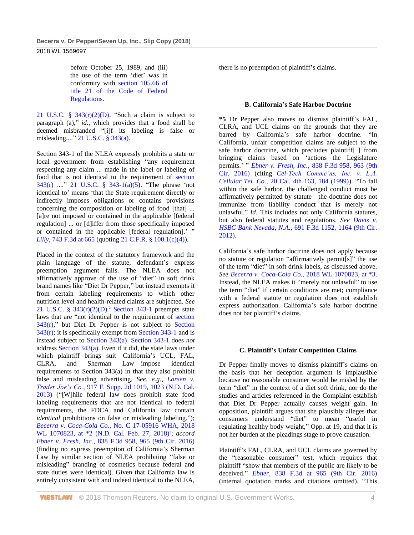before October 25, 1989, and (iii) the use of the term 'diet' was in conformity with [section 105.66 of](http://www.westlaw.com/Link/Document/FullText?findType=L&pubNum=1000547&cite=21CFRS105.66&originatingDoc=Ibc71f7a0369611e8a054a06708233710&refType=LQ&originationContext=document&vr=3.0&rs=cblt1.0&transitionType=DocumentItem&contextData=(sc.UserEnteredCitation))  [title 21 of the Code of Federal](http://www.westlaw.com/Link/Document/FullText?findType=L&pubNum=1000547&cite=21CFRS105.66&originatingDoc=Ibc71f7a0369611e8a054a06708233710&refType=LQ&originationContext=document&vr=3.0&rs=cblt1.0&transitionType=DocumentItem&contextData=(sc.UserEnteredCitation))  [Regulations.](http://www.westlaw.com/Link/Document/FullText?findType=L&pubNum=1000547&cite=21CFRS105.66&originatingDoc=Ibc71f7a0369611e8a054a06708233710&refType=LQ&originationContext=document&vr=3.0&rs=cblt1.0&transitionType=DocumentItem&contextData=(sc.UserEnteredCitation))

21 U.S.C. §  $343(r)(2)(D)$ . "Such a claim is subject to paragraph (a)," *id.*, which provides that a food shall be deemed misbranded "[i]f its labeling is false or misleading...." [21 U.S.C. § 343\(a\).](http://www.westlaw.com/Link/Document/FullText?findType=L&pubNum=1000546&cite=21USCAS343&originatingDoc=Ibc71f7a0369611e8a054a06708233710&refType=SP&originationContext=document&vr=3.0&rs=cblt1.0&transitionType=DocumentItem&contextData=(sc.UserEnteredCitation)#co_pp_8b3b0000958a4)

Section 343-1 of the NLEA expressly prohibits a state or local government from establishing "any requirement respecting any claim ... made in the label or labeling of food that is not identical to the requirement of [section](http://www.westlaw.com/Link/Document/FullText?findType=L&pubNum=1000546&cite=21USCAS343&originatingDoc=Ibc71f7a0369611e8a054a06708233710&refType=SP&originationContext=document&vr=3.0&rs=cblt1.0&transitionType=DocumentItem&contextData=(sc.UserEnteredCitation)#co_pp_3505000063ea7)  [343\(r\)](http://www.westlaw.com/Link/Document/FullText?findType=L&pubNum=1000546&cite=21USCAS343&originatingDoc=Ibc71f7a0369611e8a054a06708233710&refType=SP&originationContext=document&vr=3.0&rs=cblt1.0&transitionType=DocumentItem&contextData=(sc.UserEnteredCitation)#co_pp_3505000063ea7) ...." [21 U.S.C. § 343-1\(a\)\(5\).](http://www.westlaw.com/Link/Document/FullText?findType=L&pubNum=1000546&cite=21USCAS343-1&originatingDoc=Ibc71f7a0369611e8a054a06708233710&refType=SP&originationContext=document&vr=3.0&rs=cblt1.0&transitionType=DocumentItem&contextData=(sc.UserEnteredCitation)#co_pp_488b0000d05e2) "The phrase 'not identical to' means 'that the State requirement directly or indirectly imposes obligations or contains provisions concerning the composition or labeling of food [that] ... [a]re not imposed or contained in the applicable [federal regulation] ... or [d]iffer from those specifically imposed or contained in the applicable [federal regulation].' " *Lilly*[, 743 F.3d at 665](http://www.westlaw.com/Link/Document/FullText?findType=Y&serNum=2032755675&pubNum=0000506&originatingDoc=Ibc71f7a0369611e8a054a06708233710&refType=RP&fi=co_pp_sp_506_665&originationContext=document&vr=3.0&rs=cblt1.0&transitionType=DocumentItem&contextData=(sc.UserEnteredCitation)#co_pp_sp_506_665) (quoting [21 C.F.R. § 100.1\(c\)\(4\)\)](http://www.westlaw.com/Link/Document/FullText?findType=L&pubNum=1000547&cite=21CFRS100.1&originatingDoc=Ibc71f7a0369611e8a054a06708233710&refType=LQ&originationContext=document&vr=3.0&rs=cblt1.0&transitionType=DocumentItem&contextData=(sc.UserEnteredCitation)).

Placed in the context of the statutory framework and the plain language of the statute, defendant's express preemption argument fails. The NLEA does not affirmatively approve of the use of "diet" in soft drink brand names like "Diet Dr Pepper," but instead exempts it from certain labeling requirements to which other nutrition level and health-related claims are subjected. *See* [21 U.S.C. § 343\(r\)\(2\)\(D\).](http://www.westlaw.com/Link/Document/FullText?findType=L&pubNum=1000546&cite=21USCAS343&originatingDoc=Ibc71f7a0369611e8a054a06708233710&refType=SP&originationContext=document&vr=3.0&rs=cblt1.0&transitionType=DocumentItem&contextData=(sc.UserEnteredCitation)#co_pp_768f00009c582) <sup>2</sup> [Section 343-1](http://www.westlaw.com/Link/Document/FullText?findType=L&pubNum=1000546&cite=21USCAS343-1&originatingDoc=Ibc71f7a0369611e8a054a06708233710&refType=LQ&originationContext=document&vr=3.0&rs=cblt1.0&transitionType=DocumentItem&contextData=(sc.UserEnteredCitation)) preempts state laws that are "not identical to the requirement of [section](http://www.westlaw.com/Link/Document/FullText?findType=L&pubNum=1000546&cite=21USCAS343&originatingDoc=Ibc71f7a0369611e8a054a06708233710&refType=SP&originationContext=document&vr=3.0&rs=cblt1.0&transitionType=DocumentItem&contextData=(sc.UserEnteredCitation)#co_pp_3505000063ea7)   $343(r)$ ," but Diet Dr Pepper is not subject to Section  $343(r)$ ; it is specifically exempt from [Section 343-1](http://www.westlaw.com/Link/Document/FullText?findType=L&pubNum=1000546&cite=21USCAS343-1&originatingDoc=Ibc71f7a0369611e8a054a06708233710&refType=LQ&originationContext=document&vr=3.0&rs=cblt1.0&transitionType=DocumentItem&contextData=(sc.UserEnteredCitation)) and is instead subject to [Section 343\(a\).](http://www.westlaw.com/Link/Document/FullText?findType=L&pubNum=1000546&cite=21USCAS343&originatingDoc=Ibc71f7a0369611e8a054a06708233710&refType=SP&originationContext=document&vr=3.0&rs=cblt1.0&transitionType=DocumentItem&contextData=(sc.UserEnteredCitation)#co_pp_8b3b0000958a4) [Section 343-1](http://www.westlaw.com/Link/Document/FullText?findType=L&pubNum=1000546&cite=21USCAS343-1&originatingDoc=Ibc71f7a0369611e8a054a06708233710&refType=LQ&originationContext=document&vr=3.0&rs=cblt1.0&transitionType=DocumentItem&contextData=(sc.UserEnteredCitation)) does *not* addres[s Section 343\(a\).](http://www.westlaw.com/Link/Document/FullText?findType=L&pubNum=1000546&cite=21USCAS343&originatingDoc=Ibc71f7a0369611e8a054a06708233710&refType=SP&originationContext=document&vr=3.0&rs=cblt1.0&transitionType=DocumentItem&contextData=(sc.UserEnteredCitation)#co_pp_8b3b0000958a4) Even if it did, the state laws under which plaintiff brings suit—California's UCL, FAL, CLRA, and Sherman Law—impose identical requirements to Section 343(a) in that they also prohibit false and misleading advertising. *See, e.g.*, *[Larsen v.](http://www.westlaw.com/Link/Document/FullText?findType=Y&serNum=2029631050&pubNum=0004637&originatingDoc=Ibc71f7a0369611e8a054a06708233710&refType=RP&fi=co_pp_sp_4637_1023&originationContext=document&vr=3.0&rs=cblt1.0&transitionType=DocumentItem&contextData=(sc.UserEnteredCitation)#co_pp_sp_4637_1023)  Trader Joe's Co.*[, 917 F. Supp. 2d 1019, 1023 \(N.D. Cal.](http://www.westlaw.com/Link/Document/FullText?findType=Y&serNum=2029631050&pubNum=0004637&originatingDoc=Ibc71f7a0369611e8a054a06708233710&refType=RP&fi=co_pp_sp_4637_1023&originationContext=document&vr=3.0&rs=cblt1.0&transitionType=DocumentItem&contextData=(sc.UserEnteredCitation)#co_pp_sp_4637_1023)  [2013\)](http://www.westlaw.com/Link/Document/FullText?findType=Y&serNum=2029631050&pubNum=0004637&originatingDoc=Ibc71f7a0369611e8a054a06708233710&refType=RP&fi=co_pp_sp_4637_1023&originationContext=document&vr=3.0&rs=cblt1.0&transitionType=DocumentItem&contextData=(sc.UserEnteredCitation)#co_pp_sp_4637_1023) ("[W]hile federal law does prohibit state food labeling requirements that are not identical to federal requirements, the FDCA and California law contain *identical* prohibitions on false or misleading labeling."); *Becerra v. Coca-Cola Co.*[, No. C 17-05916 WHA, 2018](http://www.westlaw.com/Link/Document/FullText?findType=Y&serNum=2043902061&pubNum=0000999&originatingDoc=Ibc71f7a0369611e8a054a06708233710&refType=RP&originationContext=document&vr=3.0&rs=cblt1.0&transitionType=DocumentItem&contextData=(sc.UserEnteredCitation))  [WL 1070823, at \\*2 \(N.D. Cal. Feb. 27, 2018\)](http://www.westlaw.com/Link/Document/FullText?findType=Y&serNum=2043902061&pubNum=0000999&originatingDoc=Ibc71f7a0369611e8a054a06708233710&refType=RP&originationContext=document&vr=3.0&rs=cblt1.0&transitionType=DocumentItem&contextData=(sc.UserEnteredCitation))<sup>3</sup>; *accord Ebner v. Fresh, Inc.*[, 838 F.3d 958, 965 \(9th Cir. 2016\)](http://www.westlaw.com/Link/Document/FullText?findType=Y&serNum=2039874178&pubNum=0000506&originatingDoc=Ibc71f7a0369611e8a054a06708233710&refType=RP&fi=co_pp_sp_506_965&originationContext=document&vr=3.0&rs=cblt1.0&transitionType=DocumentItem&contextData=(sc.UserEnteredCitation)#co_pp_sp_506_965) (finding no express preemption of California's Sherman Law by similar section of NLEA prohibiting "false or misleading" branding of cosmetics because federal and state duties were identical). Given that California law is entirely consistent with and indeed identical to the NLEA,

there is no preemption of plaintiff's claims.

### **B. California's Safe Harbor Doctrine**

**\*5** Dr Pepper also moves to dismiss plaintiff's FAL, CLRA, and UCL claims on the grounds that they are barred by California's safe harbor doctrine. "In California, unfair competition claims are subject to the safe harbor doctrine, which precludes plaintiff[ ] from bringing claims based on 'actions the Legislature permits.' " *Ebner v. Fresh, Inc.*[, 838 F.3d 958, 963 \(9th](http://www.westlaw.com/Link/Document/FullText?findType=Y&serNum=2039874178&pubNum=0000506&originatingDoc=Ibc71f7a0369611e8a054a06708233710&refType=RP&fi=co_pp_sp_506_963&originationContext=document&vr=3.0&rs=cblt1.0&transitionType=DocumentItem&contextData=(sc.UserEnteredCitation)#co_pp_sp_506_963)  [Cir. 2016\)](http://www.westlaw.com/Link/Document/FullText?findType=Y&serNum=2039874178&pubNum=0000506&originatingDoc=Ibc71f7a0369611e8a054a06708233710&refType=RP&fi=co_pp_sp_506_963&originationContext=document&vr=3.0&rs=cblt1.0&transitionType=DocumentItem&contextData=(sc.UserEnteredCitation)#co_pp_sp_506_963) (citing *[Cel-Tech Commc'ns, Inc. v. L.A.](http://www.westlaw.com/Link/Document/FullText?findType=Y&serNum=1999097707&pubNum=0004040&originatingDoc=Ibc71f7a0369611e8a054a06708233710&refType=RP&fi=co_pp_sp_4040_184&originationContext=document&vr=3.0&rs=cblt1.0&transitionType=DocumentItem&contextData=(sc.UserEnteredCitation)#co_pp_sp_4040_184)  Cellular Tel. Co.*[, 20 Cal. 4th 163, 184 \(1999\)\)](http://www.westlaw.com/Link/Document/FullText?findType=Y&serNum=1999097707&pubNum=0004040&originatingDoc=Ibc71f7a0369611e8a054a06708233710&refType=RP&fi=co_pp_sp_4040_184&originationContext=document&vr=3.0&rs=cblt1.0&transitionType=DocumentItem&contextData=(sc.UserEnteredCitation)#co_pp_sp_4040_184). "To fall within the safe harbor, the challenged conduct must be affirmatively permitted by statute—the doctrine does not immunize from liability conduct that is merely not unlawful." *Id.* This includes not only California statutes, but also federal statutes and regulations. *See [Davis v.](http://www.westlaw.com/Link/Document/FullText?findType=Y&serNum=2028533822&pubNum=0000506&originatingDoc=Ibc71f7a0369611e8a054a06708233710&refType=RP&fi=co_pp_sp_506_1164&originationContext=document&vr=3.0&rs=cblt1.0&transitionType=DocumentItem&contextData=(sc.UserEnteredCitation)#co_pp_sp_506_1164)  HSBC Bank Nevada, N.A.*[, 691 F.3d 1152, 1164 \(9th Cir.](http://www.westlaw.com/Link/Document/FullText?findType=Y&serNum=2028533822&pubNum=0000506&originatingDoc=Ibc71f7a0369611e8a054a06708233710&refType=RP&fi=co_pp_sp_506_1164&originationContext=document&vr=3.0&rs=cblt1.0&transitionType=DocumentItem&contextData=(sc.UserEnteredCitation)#co_pp_sp_506_1164)  [2012\).](http://www.westlaw.com/Link/Document/FullText?findType=Y&serNum=2028533822&pubNum=0000506&originatingDoc=Ibc71f7a0369611e8a054a06708233710&refType=RP&fi=co_pp_sp_506_1164&originationContext=document&vr=3.0&rs=cblt1.0&transitionType=DocumentItem&contextData=(sc.UserEnteredCitation)#co_pp_sp_506_1164)

California's safe harbor doctrine does not apply because no statute or regulation "affirmatively permit[s]" the use of the term "diet" in soft drink labels, as discussed above. *See Becerra v. Coca-Cola Co.*[, 2018 WL 1070823, at \\*3.](http://www.westlaw.com/Link/Document/FullText?findType=Y&serNum=2043902061&pubNum=0000999&originatingDoc=Ibc71f7a0369611e8a054a06708233710&refType=RP&originationContext=document&vr=3.0&rs=cblt1.0&transitionType=DocumentItem&contextData=(sc.UserEnteredCitation)) Instead, the NLEA makes it "merely not unlawful" to use the term "diet" if certain conditions are met; compliance with a federal statute or regulation does not establish express authorization. California's safe harbor doctrine does not bar plaintiff's claims.

### **C. Plaintiff's Unfair Competition Claims**

Dr Pepper finally moves to dismiss plaintiff's claims on the basis that her deception argument is implausible because no reasonable consumer would be misled by the term "diet" in the context of a diet soft drink, nor do the studies and articles referenced in the Complaint establish that Diet Dr Pepper actually causes weight gain. In opposition, plaintiff argues that she plausibly alleges that consumers understand "diet" to mean "useful in regulating healthy body weight," Opp. at 19, and that it is not her burden at the pleadings stage to prove causation.

Plaintiff's FAL, CLRA, and UCL claims are governed by the "reasonable consumer" test, which requires that plaintiff "show that members of the public are likely to be deceived." *Ebner*[, 838 F.3d at 965 \(9th Cir. 2016\)](http://www.westlaw.com/Link/Document/FullText?findType=Y&serNum=2039874178&pubNum=0000506&originatingDoc=Ibc71f7a0369611e8a054a06708233710&refType=RP&fi=co_pp_sp_506_965&originationContext=document&vr=3.0&rs=cblt1.0&transitionType=DocumentItem&contextData=(sc.UserEnteredCitation)#co_pp_sp_506_965) (internal quotation marks and citations omitted). "This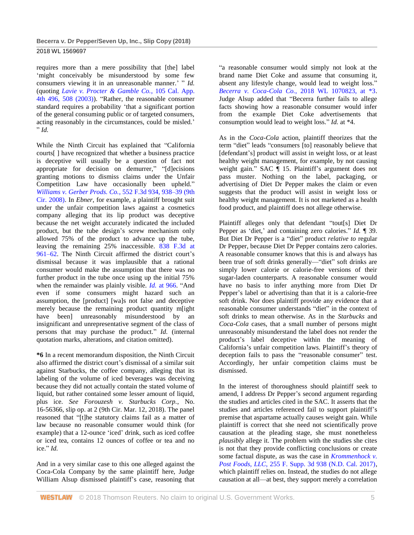2018 WL 1569697

requires more than a mere possibility that [the] label 'might conceivably be misunderstood by some few consumers viewing it in an unreasonable manner.' " *Id.* (quoting *[Lavie v. Procter & Gamble Co.](http://www.westlaw.com/Link/Document/FullText?findType=Y&serNum=2003089755&pubNum=0004041&originatingDoc=Ibc71f7a0369611e8a054a06708233710&refType=RP&fi=co_pp_sp_4041_508&originationContext=document&vr=3.0&rs=cblt1.0&transitionType=DocumentItem&contextData=(sc.UserEnteredCitation)#co_pp_sp_4041_508)*, 105 Cal. App. 4th 496, [508 \(2003\)\)](http://www.westlaw.com/Link/Document/FullText?findType=Y&serNum=2003089755&pubNum=0004041&originatingDoc=Ibc71f7a0369611e8a054a06708233710&refType=RP&fi=co_pp_sp_4041_508&originationContext=document&vr=3.0&rs=cblt1.0&transitionType=DocumentItem&contextData=(sc.UserEnteredCitation)#co_pp_sp_4041_508). "Rather, the reasonable consumer standard requires a probability 'that a significant portion of the general consuming public or of targeted consumers, acting reasonably in the circumstances, could be misled.' " *Id.*

While the Ninth Circuit has explained that "California courts[ ] have recognized that whether a business practice is deceptive will usually be a question of fact not appropriate for decision on demurrer," "[d]ecisions granting motions to dismiss claims under the Unfair Competition Law have occasionally been upheld." *[Williams v. Gerber Prods. Co.](http://www.westlaw.com/Link/Document/FullText?findType=Y&serNum=2017694688&pubNum=0000506&originatingDoc=Ibc71f7a0369611e8a054a06708233710&refType=RP&fi=co_pp_sp_506_938&originationContext=document&vr=3.0&rs=cblt1.0&transitionType=DocumentItem&contextData=(sc.UserEnteredCitation)#co_pp_sp_506_938)*, 552 F.3d 934, 938–39 (9th [Cir. 2008\).](http://www.westlaw.com/Link/Document/FullText?findType=Y&serNum=2017694688&pubNum=0000506&originatingDoc=Ibc71f7a0369611e8a054a06708233710&refType=RP&fi=co_pp_sp_506_938&originationContext=document&vr=3.0&rs=cblt1.0&transitionType=DocumentItem&contextData=(sc.UserEnteredCitation)#co_pp_sp_506_938) In *Ebner*, for example, a plaintiff brought suit under the unfair competition laws against a cosmetics company alleging that its lip product was deceptive because the net weight accurately indicated the included product, but the tube design's screw mechanism only allowed 75% of the product to advance up the tube, leaving the remaining 25% inaccessible. [838 F.3d at](http://www.westlaw.com/Link/Document/FullText?findType=Y&serNum=2039874178&pubNum=0000506&originatingDoc=Ibc71f7a0369611e8a054a06708233710&refType=RP&fi=co_pp_sp_506_961&originationContext=document&vr=3.0&rs=cblt1.0&transitionType=DocumentItem&contextData=(sc.UserEnteredCitation)#co_pp_sp_506_961)  [961–62.](http://www.westlaw.com/Link/Document/FullText?findType=Y&serNum=2039874178&pubNum=0000506&originatingDoc=Ibc71f7a0369611e8a054a06708233710&refType=RP&fi=co_pp_sp_506_961&originationContext=document&vr=3.0&rs=cblt1.0&transitionType=DocumentItem&contextData=(sc.UserEnteredCitation)#co_pp_sp_506_961) The Ninth Circuit affirmed the district court's dismissal because it was implausible that a rational consumer would make the assumption that there was no further product in the tube once using up the initial 75% when the remainder was plainly visible. *Id.* [at 966.](http://www.westlaw.com/Link/Document/FullText?findType=Y&serNum=2039874178&pubNum=0000506&originatingDoc=Ibc71f7a0369611e8a054a06708233710&refType=RP&fi=co_pp_sp_506_966&originationContext=document&vr=3.0&rs=cblt1.0&transitionType=DocumentItem&contextData=(sc.UserEnteredCitation)#co_pp_sp_506_966) "And even if some consumers might hazard such an assumption, the [product] [wa]s not false and deceptive merely because the remaining product quantity m[ight have been] unreasonably misunderstood by an insignificant and unrepresentative segment of the class of persons that may purchase the product." *Id.* (internal quotation marks, alterations, and citation omitted).

**\*6** In a recent memorandum disposition, the Ninth Circuit also affirmed the district court's dismissal of a similar suit against Starbucks, the coffee company, alleging that its labeling of the volume of iced beverages was deceiving because they did not actually contain the stated volume of liquid, but rather contained some lesser amount of liquid, plus ice. *See Forouzesh v. Starbucks Corp.*, No. 16-56366, slip op. at 2 (9th Cir. Mar. 12, 2018). The panel reasoned that "[t]he statutory claims fail as a matter of law because no reasonable consumer would think (for example) that a 12-ounce 'iced' drink, such as iced coffee or iced tea, contains 12 ounces of coffee or tea and no ice." *Id.*

And in a very similar case to this one alleged against the Coca-Cola Company by the same plaintiff here, Judge William Alsup dismissed plaintiff's case, reasoning that "a reasonable consumer would simply not look at the brand name Diet Coke and assume that consuming it, absent any lifestyle change, would lead to weight loss." *Becerra v. Coca-Cola Co.*[, 2018 WL 1070823, at \\*3.](http://www.westlaw.com/Link/Document/FullText?findType=Y&serNum=2043902061&pubNum=0000999&originatingDoc=Ibc71f7a0369611e8a054a06708233710&refType=RP&originationContext=document&vr=3.0&rs=cblt1.0&transitionType=DocumentItem&contextData=(sc.UserEnteredCitation)) Judge Alsup added that "Becerra further fails to allege facts showing how a reasonable consumer would infer from the example Diet Coke advertisements that consumption would lead to weight loss." *Id.* at \*4.

As in the *Coca-Cola* action, plaintiff theorizes that the term "diet" leads "consumers [to] reasonably believe that [defendant's] product will assist in weight loss, or at least healthy weight management, for example, by not causing weight gain." SAC ¶ 15. Plaintiff's argument does not pass muster. Nothing on the label, packaging, or advertising of Diet Dr Pepper makes the claim or even suggests that the product will assist in weight loss or healthy weight management. It is not marketed as a health food product, and plaintiff does not allege otherwise.

Plaintiff alleges only that defendant "tout[s] Diet Dr Pepper as 'diet,' and containing zero calories." *Id.* ¶ 39. But Diet Dr Pepper is a "diet" product *relative to* regular Dr Pepper, because Diet Dr Pepper contains zero calories. A reasonable consumer knows that this is and always has been true of soft drinks generally—"diet" soft drinks are simply lower calorie or calorie-free versions of their sugar-laden counterparts. A reasonable consumer would have no basis to infer anything more from Diet Dr Pepper's label or advertising than that it is a calorie-free soft drink. Nor does plaintiff provide any evidence that a reasonable consumer understands "diet" in the context of soft drinks to mean otherwise. As in the *Starbucks* and *Coca-Cola* cases, that a small number of persons might unreasonably misunderstand the label does not render the product's label deceptive within the meaning of California's unfair competition laws. Plaintiff's theory of deception fails to pass the "reasonable consumer" test. Accordingly, her unfair competition claims must be dismissed.

In the interest of thoroughness should plaintiff seek to amend, I address Dr Pepper's second argument regarding the studies and articles cited in the SAC. It asserts that the studies and articles referenced fail to support plaintiff's premise that aspartame actually causes weight gain. While plaintiff is correct that she need not scientifically prove causation at the pleading stage, she must nonetheless *plausibly* allege it. The problem with the studies she cites is not that they provide conflicting conclusions or create some factual dispute, as was the case in *[Krommenhock v.](http://www.westlaw.com/Link/Document/FullText?findType=Y&serNum=2041781114&pubNum=0007903&originatingDoc=Ibc71f7a0369611e8a054a06708233710&refType=RP&originationContext=document&vr=3.0&rs=cblt1.0&transitionType=DocumentItem&contextData=(sc.UserEnteredCitation))  Post Foods, LLC*[, 255 F. Supp. 3d 938 \(N.D. Cal. 2017\),](http://www.westlaw.com/Link/Document/FullText?findType=Y&serNum=2041781114&pubNum=0007903&originatingDoc=Ibc71f7a0369611e8a054a06708233710&refType=RP&originationContext=document&vr=3.0&rs=cblt1.0&transitionType=DocumentItem&contextData=(sc.UserEnteredCitation)) which plaintiff relies on. Instead, the studies do not allege causation at all—at best, they support merely a correlation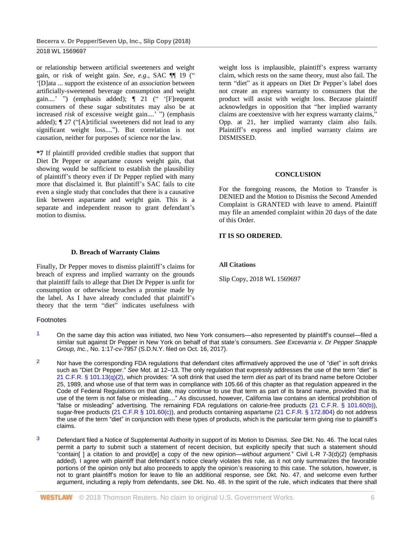or relationship between artificial sweeteners and weight gain, or risk of weight gain. *See, e.g.*, SAC ¶¶ 19 (" '[D]ata ... support the existence of an *association* between artificially-sweetened beverage consumption and weight gain....' ") (emphasis added); ¶ 21 (" '[F]requent consumers of these sugar substitutes may also be at increased *risk* of excessive weight gain....' ") (emphasis added); ¶ 27 ("[A]rtificial sweeteners did not lead to any significant weight loss...."). But correlation is not causation, neither for purposes of science nor the law.

**\*7** If plaintiff provided credible studies that support that Diet Dr Pepper or aspartame *causes* weight gain, that showing would be sufficient to establish the plausibility of plaintiff's theory even if Dr Pepper replied with many more that disclaimed it. But plaintiff's SAC fails to cite even a single study that concludes that there is a causative link between aspartame and weight gain. This is a separate and independent reason to grant defendant's motion to dismiss.

**D. Breach of Warranty Claims**

Finally, Dr Pepper moves to dismiss plaintiff's claims for breach of express and implied warranty on the grounds that plaintiff fails to allege that Diet Dr Pepper is unfit for consumption or otherwise breaches a promise made by the label. As I have already concluded that plaintiff's theory that the term "diet" indicates usefulness with

Footnotes

weight loss is implausible, plaintiff's express warranty claim, which rests on the same theory, must also fail. The term "diet" as it appears on Diet Dr Pepper's label does not create an express warranty to consumers that the product will assist with weight loss. Because plaintiff acknowledges in opposition that "her implied warranty claims are coextensive with her express warranty claims," Opp. at 21, her implied warranty claim also fails. Plaintiff's express and implied warranty claims are DISMISSED.

### **CONCLUSION**

For the foregoing reasons, the Motion to Transfer is DENIED and the Motion to Dismiss the Second Amended Complaint is GRANTED with leave to amend. Plaintiff may file an amended complaint within 20 days of the date of this Order.

# **IT IS SO ORDERED.**

**All Citations**

Slip Copy, 2018 WL 1569697

- 1 On the same day this action was initiated, two New York consumers—also represented by plaintiff's counsel—filed a similar suit against Dr Pepper in New York on behalf of that state's consumers. *See Excevarria v. Dr Pepper Snapple Group, Inc.*, No. 1:17-cv-7957 (S.D.N.Y. filed on Oct. 16, 2017).
- $2$  Nor have the corresponding FDA regulations that defendant cites affirmatively approved the use of "diet" in soft drinks such as "Diet Dr Pepper." *See* Mot. at 12–13. The only regulation that expressly addresses the use of the term "diet" is [21 C.F.R. § 101.13\(q\)\(2\),](http://www.westlaw.com/Link/Document/FullText?findType=L&pubNum=1000547&cite=21CFRS101.13&originatingDoc=Ibc71f7a0369611e8a054a06708233710&refType=LQ&originationContext=document&vr=3.0&rs=cblt1.0&transitionType=DocumentItem&contextData=(sc.UserEnteredCitation)) which provides: "A soft drink that used the term *diet* as part of its brand name before October 25, 1989, and whose use of that term was in compliance with 105.66 of this chapter as that regulation appeared in the Code of Federal Regulations on that date, may continue to use that term as part of its brand name, provided that its use of the term is not false or misleading...." As discussed, however, California law contains an identical prohibition of "false or misleading" advertising. The remaining FDA regulations on calorie-free products [\(21 C.F.R. § 101.60\(b\)\)](http://www.westlaw.com/Link/Document/FullText?findType=L&pubNum=1000547&cite=21CFRS101.60&originatingDoc=Ibc71f7a0369611e8a054a06708233710&refType=LQ&originationContext=document&vr=3.0&rs=cblt1.0&transitionType=DocumentItem&contextData=(sc.UserEnteredCitation)), sugar-free products [\(21 C.F.R § 101.60\(c\)\)](http://www.westlaw.com/Link/Document/FullText?findType=L&pubNum=1000547&cite=21CFRS101.60&originatingDoc=Ibc71f7a0369611e8a054a06708233710&refType=LQ&originationContext=document&vr=3.0&rs=cblt1.0&transitionType=DocumentItem&contextData=(sc.UserEnteredCitation)), and products containing aspartame [\(21 C.F.R. § 172.804\)](http://www.westlaw.com/Link/Document/FullText?findType=L&pubNum=1000547&cite=21CFRS172.804&originatingDoc=Ibc71f7a0369611e8a054a06708233710&refType=LQ&originationContext=document&vr=3.0&rs=cblt1.0&transitionType=DocumentItem&contextData=(sc.UserEnteredCitation)) do not address the use of the term "diet" in conjunction with these types of products, which is the particular term giving rise to plaintiff's claims.
- 3 Defendant filed a Notice of Supplemental Authority in support of its Motion to Dismiss. *See* Dkt. No. 46. The local rules permit a party to submit such a statement of recent decision, but explicitly specify that such a statement should "contain[ ] a citation to and provid[e] a copy of the new opinion—*without argument.*" Civil L-R 7-3(d)(2) (emphasis added). I agree with plaintiff that defendant's notice clearly violates this rule, as it not only summarizes the favorable portions of the opinion only but also proceeds to apply the opinion's reasoning to this case. The solution, however, is not to grant plaintiff's motion for leave to file an additional response, *see* Dkt. No. 47, and welcome even further argument, including a reply from defendants, *see* Dkt. No. 48. In the spirit of the rule, which indicates that there shall